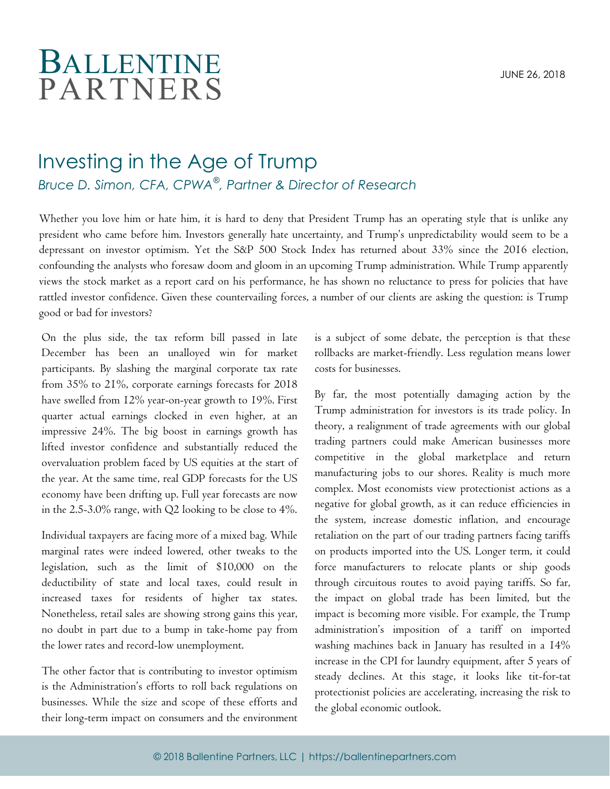## BALLENTINE PARTNERS

## Investing in the Age of Trump

*Bruce D. Simon, CFA, CPWA*® *, Partner & Director of Research*

Whether you love him or hate him, it is hard to deny that President Trump has an operating style that is unlike any president who came before him. Investors generally hate uncertainty, and Trump's unpredictability would seem to be a depressant on investor optimism. Yet the S&P 500 Stock Index has returned about 33% since the 2016 election, confounding the analysts who foresaw doom and gloom in an upcoming Trump administration. While Trump apparently views the stock market as a report card on his performance, he has shown no reluctance to press for policies that have rattled investor confidence. Given these countervailing forces, a number of our clients are asking the question: is Trump good or bad for investors?

On the plus side, the tax reform bill passed in late December has been an unalloyed win for market participants. By slashing the marginal corporate tax rate from 35% to 21%, corporate earnings forecasts for 2018 have swelled from 12% year-on-year growth to 19%. First quarter actual earnings clocked in even higher, at an impressive 24%. The big boost in earnings growth has lifted investor confidence and substantially reduced the overvaluation problem faced by US equities at the start of the year. At the same time, real GDP forecasts for the US economy have been drifting up. Full year forecasts are now in the 2.5-3.0% range, with Q2 looking to be close to 4%.

Individual taxpayers are facing more of a mixed bag. While marginal rates were indeed lowered, other tweaks to the legislation, such as the limit of \$10,000 on the deductibility of state and local taxes, could result in increased taxes for residents of higher tax states. Nonetheless, retail sales are showing strong gains this year, no doubt in part due to a bump in take-home pay from the lower rates and record-low unemployment.

The other factor that is contributing to investor optimism is the Administration's efforts to roll back regulations on businesses. While the size and scope of these efforts and their long-term impact on consumers and the environment is a subject of some debate, the perception is that these rollbacks are market-friendly. Less regulation means lower costs for businesses.

By far, the most potentially damaging action by the Trump administration for investors is its trade policy. In theory, a realignment of trade agreements with our global trading partners could make American businesses more competitive in the global marketplace and return manufacturing jobs to our shores. Reality is much more complex. Most economists view protectionist actions as a negative for global growth, as it can reduce efficiencies in the system, increase domestic inflation, and encourage retaliation on the part of our trading partners facing tariffs on products imported into the US. Longer term, it could force manufacturers to relocate plants or ship goods through circuitous routes to avoid paying tariffs. So far, the impact on global trade has been limited, but the impact is becoming more visible. For example, the Trump administration's imposition of a tariff on imported washing machines back in January has resulted in a 14% increase in the CPI for laundry equipment, after 5 years of steady declines. At this stage, it looks like tit-for-tat protectionist policies are accelerating, increasing the risk to the global economic outlook.